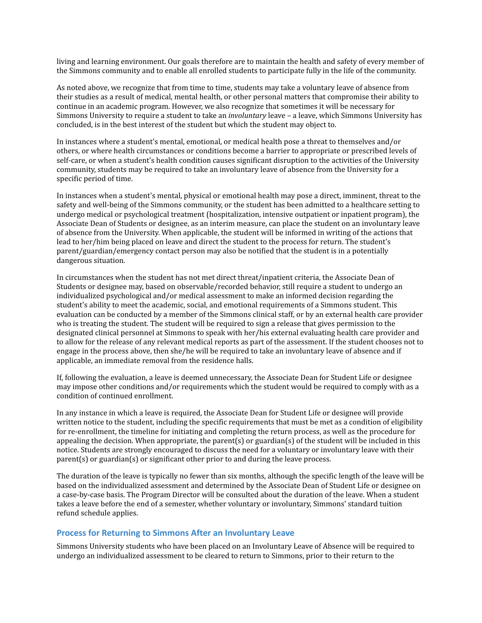living and learning environment. Our goals therefore are to maintain the health and safety of every member of the Simmons community and to enable all enrolled students to participate fully in the life of the community.

As noted above, we recognize that from time to time, students may take a voluntary leave of absence from their studies as a result of medical, mental health, or other personal matters that compromise their ability to continue in an academic program. However, we also recognize that sometimes it will be necessary for Simmons University to require a student to take an *involuntary* leave – a leave, which Simmons University has concluded, is in the best interest of the student but which the student may object to.

In instances where a student's mental, emotional, or medical health pose a threat to themselves and/or others, or where health circumstances or conditions become a barrier to appropriate or prescribed levels of self-care, or when a student's health condition causes significant disruption to the activities of the University community, students may be required to take an involuntary leave of absence from the University for a specific period of time.

In instances when a student's mental, physical or emotional health may pose a direct, imminent, threat to the safety and well-being of the Simmons community, or the student has been admitted to a healthcare setting to undergo medical or psychological treatment (hospitalization, intensive outpatient or inpatient program), the Associate Dean of Students or designee, as an interim measure, can place the student on an involuntary leave of absence from the University. When applicable, the student will be informed in writing of the actions that lead to her/him being placed on leave and direct the student to the process for return. The student's parent/guardian/emergency contact person may also be notified that the student is in a potentially dangerous situation.

In circumstances when the student has not met direct threat/inpatient criteria, the Associate Dean of Students or designee may, based on observable/recorded behavior, still require a student to undergo an individualized psychological and/or medical assessment to make an informed decision regarding the student's ability to meet the academic, social, and emotional requirements of a Simmons student. This evaluation can be conducted by a member of the Simmons clinical staff, or by an external health care provider who is treating the student. The student will be required to sign a release that gives permission to the designated clinical personnel at Simmons to speak with her/his external evaluating health care provider and to allow for the release of any relevant medical reports as part of the assessment. If the student chooses not to engage in the process above, then she/he will be required to take an involuntary leave of absence and if applicable, an immediate removal from the residence halls.

If, following the evaluation, a leave is deemed unnecessary, the Associate Dean for Student Life or designee may impose other conditions and/or requirements which the student would be required to comply with as a condition of continued enrollment.

In any instance in which a leave is required, the Associate Dean for Student Life or designee will provide written notice to the student, including the specific requirements that must be met as a condition of eligibility for re-enrollment, the timeline for initiating and completing the return process, as well as the procedure for appealing the decision. When appropriate, the parent(s) or guardian(s) of the student will be included in this notice. Students are strongly encouraged to discuss the need for a voluntary or involuntary leave with their  $\text{parent}(s)$  or guardian $(s)$  or significant other prior to and during the leave process.

The duration of the leave is typically no fewer than six months, although the specific length of the leave will be based on the individualized assessment and determined by the Associate Dean of Student Life or designee on a case-by-case basis. The Program Director will be consulted about the duration of the leave. When a student takes a leave before the end of a semester, whether voluntary or involuntary, Simmons' standard tuition refund schedule applies.

#### **Process for Returning to Simmons After an Involuntary Leave**

Simmons University students who have been placed on an Involuntary Leave of Absence will be required to undergo an individualized assessment to be cleared to return to Simmons, prior to their return to the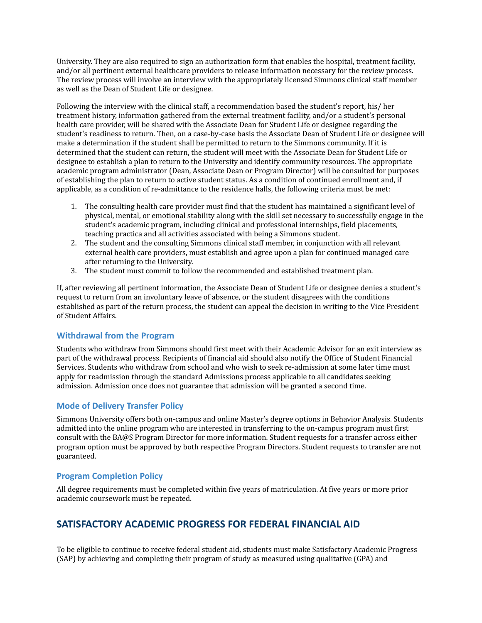University. They are also required to sign an authorization form that enables the hospital, treatment facility, and/or all pertinent external healthcare providers to release information necessary for the review process. The review process will involve an interview with the appropriately licensed Simmons clinical staff member as well as the Dean of Student Life or designee.

Following the interview with the clinical staff, a recommendation based the student's report, his/ her treatment history, information gathered from the external treatment facility, and/or a student's personal health care provider, will be shared with the Associate Dean for Student Life or designee regarding the student's readiness to return. Then, on a case-by-case basis the Associate Dean of Student Life or designee will make a determination if the student shall be permitted to return to the Simmons community. If it is determined that the student can return, the student will meet with the Associate Dean for Student Life or designee to establish a plan to return to the University and identify community resources. The appropriate academic program administrator (Dean, Associate Dean or Program Director) will be consulted for purposes of establishing the plan to return to active student status. As a condition of continued enrollment and, if applicable, as a condition of re-admittance to the residence halls, the following criteria must be met:

- 1. The consulting health care provider must find that the student has maintained a significant level of physical, mental, or emotional stability along with the skill set necessary to successfully engage in the student's academic program, including clinical and professional internships, field placements, teaching practica and all activities associated with being a Simmons student.
- 2. The student and the consulting Simmons clinical staff member, in conjunction with all relevant external health care providers, must establish and agree upon a plan for continued managed care after returning to the University.
- 3. The student must commit to follow the recommended and established treatment plan.

If, after reviewing all pertinent information, the Associate Dean of Student Life or designee denies a student's request to return from an involuntary leave of absence, or the student disagrees with the conditions established as part of the return process, the student can appeal the decision in writing to the Vice President of Student Affairs.

## **Withdrawal from the Program**

Students who withdraw from Simmons should first meet with their Academic Advisor for an exit interview as part of the withdrawal process. Recipients of financial aid should also notify the Office of Student Financial Services. Students who withdraw from school and who wish to seek re-admission at some later time must apply for readmission through the standard Admissions process applicable to all candidates seeking admission. Admission once does not guarantee that admission will be granted a second time.

## **Mode of Delivery Transfer Policy**

Simmons University offers both on-campus and online Master's degree options in Behavior Analysis. Students admitted into the online program who are interested in transferring to the on-campus program must first consult with the BA@S Program Director for more information. Student requests for a transfer across either program option must be approved by both respective Program Directors. Student requests to transfer are not guaranteed.

## **Program Completion Policy**

All degree requirements must be completed within five years of matriculation. At five years or more prior academic coursework must be repeated.

## **SATISFACTORY ACADEMIC PROGRESS FOR FEDERAL FINANCIAL AID**

To be eligible to continue to receive federal student aid, students must make Satisfactory Academic Progress (SAP) by achieving and completing their program of study as measured using qualitative (GPA) and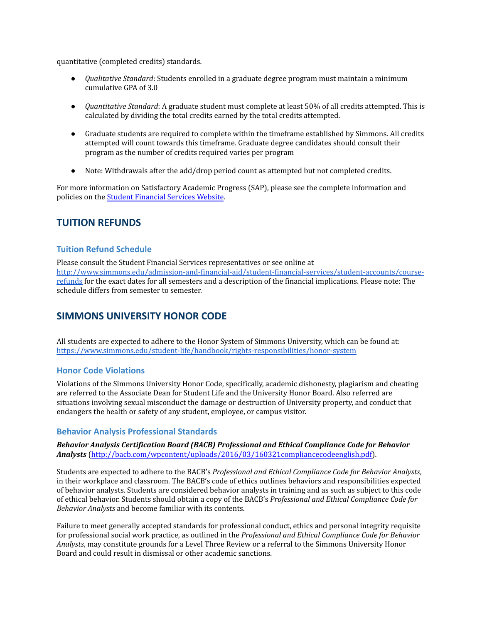quantitative (completed credits) standards.

- *Qualitative Standard*: Students enrolled in a graduate degree program must maintain a minimum cumulative GPA of 3.0
- *Quantitative Standard*: A graduate student must complete at least 50% of all credits attempted. This is calculated by dividing the total credits earned by the total credits attempted.
- Graduate students are required to complete within the timeframe established by Simmons. All credits attempted will count towards this timeframe. Graduate degree candidates should consult their program as the number of credits required varies per program
- Note: Withdrawals after the add/drop period count as attempted but not completed credits.

For more information on Satisfactory Academic Progress (SAP), please see the complete information and policies on the Student [Financial](http://www.simmons.edu/admission-and-financial-aid/student-financial-services/financial-aid/additional-information-and-policies/sap.) Services Website.

## **TUITION REFUNDS**

## **Tuition Refund Schedule**

Please consult the Student Financial Services representatives or see online at [http://www.simmons.edu/admission-and-financial-aid/student-financial-services/student-accounts/course](http://www.simmons.edu/admission-and-financial-aid/student-financial-services/student-accounts/course-refunds)[refunds](http://www.simmons.edu/admission-and-financial-aid/student-financial-services/student-accounts/course-refunds) for the exact dates for all semesters and a description of the financial implications. Please note: The schedule differs from semester to semester.

## **SIMMONS UNIVERSITY HONOR CODE**

All students are expected to adhere to the Honor System of Simmons University, which can be found at: <https://www.simmons.edu/student-life/handbook/rights-responsibilities/honor-system>

## **Honor Code Violations**

Violations of the Simmons University Honor Code, specifically, academic dishonesty, plagiarism and cheating are referred to the Associate Dean for Student Life and the University Honor Board. Also referred are situations involving sexual misconduct the damage or destruction of University property, and conduct that endangers the health or safety of any student, employee, or campus visitor.

## **Behavior Analysis Professional Standards**

#### *Behavior Analysis Certification Board (BACB) Professional and Ethical Compliance Code for Behavior Analysts* ([http://bacb.com/wpcontent/uploads/2016/03/160321compliancecodeenglish.pdf\)](https://www.bacb.com/wp-content/uploads/2017/09/170706-compliance-code-english.pdf).

Students are expected to adhere to the BACB's *Professional and Ethical Compliance Code for Behavior Analysts*, in their workplace and classroom. The BACB's code of ethics outlines behaviors and responsibilities expected of behavior analysts. Students are considered behavior analysts in training and as such as subject to this code of ethical behavior. Students should obtain a copy of the BACB's *Professional and Ethical Compliance Code for Behavior Analysts* and become familiar with its contents.

Failure to meet generally accepted standards for professional conduct, ethics and personal integrity requisite for professional social work practice, as outlined in the *Professional and Ethical Compliance Code for Behavior Analysts*, may constitute grounds for a Level Three Review or a referral to the Simmons University Honor Board and could result in dismissal or other academic sanctions.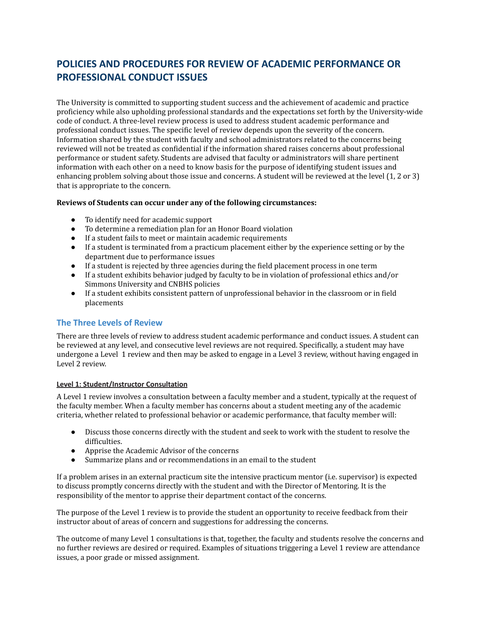# **POLICIES AND PROCEDURES FOR REVIEW OF ACADEMIC PERFORMANCE OR PROFESSIONAL CONDUCT ISSUES**

The University is committed to supporting student success and the achievement of academic and practice proficiency while also upholding professional standards and the expectations set forth by the University-wide code of conduct. A three-level review process is used to address student academic performance and professional conduct issues. The specific level of review depends upon the severity of the concern. Information shared by the student with faculty and school administrators related to the concerns being reviewed will not be treated as confidential if the information shared raises concerns about professional performance or student safety. Students are advised that faculty or administrators will share pertinent information with each other on a need to know basis for the purpose of identifying student issues and enhancing problem solving about those issue and concerns. A student will be reviewed at the level (1, 2 or 3) that is appropriate to the concern.

#### **Reviews of Students can occur under any of the following circumstances:**

- To identify need for academic support
- To determine a remediation plan for an Honor Board violation
- If a student fails to meet or maintain academic requirements
- If a student is terminated from a practicum placement either by the experience setting or by the department due to performance issues
- If a student is rejected by three agencies during the field placement process in one term
- *●* If a student exhibits behavior judged by faculty to be in violation of professional ethics and/or Simmons University and CNBHS policies
- If a student exhibits consistent pattern of unprofessional behavior in the classroom or in field placements

## **The Three Levels of Review**

There are three levels of review to address student academic performance and conduct issues. A student can be reviewed at any level, and consecutive level reviews are not required. Specifically, a student may have undergone a Level 1 review and then may be asked to engage in a Level 3 review, without having engaged in Level 2 review.

#### **Level 1: Student/Instructor Consultation**

A Level 1 review involves a consultation between a faculty member and a student, typically at the request of the faculty member. When a faculty member has concerns about a student meeting any of the academic criteria, whether related to professional behavior or academic performance, that faculty member will:

- Discuss those concerns directly with the student and seek to work with the student to resolve the difficulties.
- Apprise the Academic Advisor of the concerns
- Summarize plans and or recommendations in an email to the student

If a problem arises in an external practicum site the intensive practicum mentor (i.e. supervisor) is expected to discuss promptly concerns directly with the student and with the Director of Mentoring. It is the responsibility of the mentor to apprise their department contact of the concerns.

The purpose of the Level 1 review is to provide the student an opportunity to receive feedback from their instructor about of areas of concern and suggestions for addressing the concerns.

The outcome of many Level 1 consultations is that, together, the faculty and students resolve the concerns and no further reviews are desired or required. Examples of situations triggering a Level 1 review are attendance issues, a poor grade or missed assignment.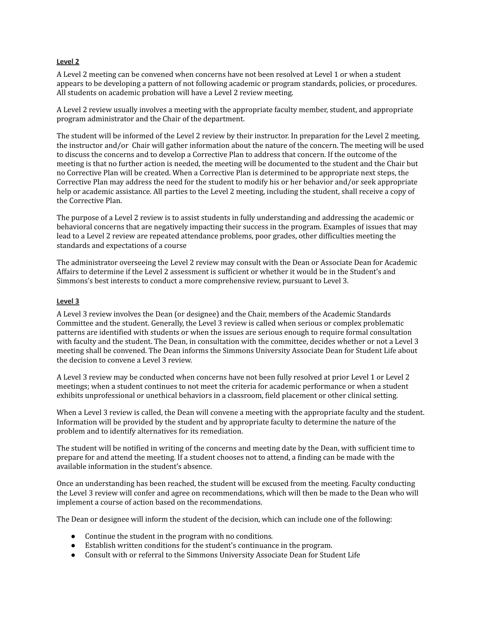#### **Level 2**

A Level 2 meeting can be convened when concerns have not been resolved at Level 1 or when a student appears to be developing a pattern of not following academic or program standards, policies, or procedures. All students on academic probation will have a Level 2 review meeting.

A Level 2 review usually involves a meeting with the appropriate faculty member, student, and appropriate program administrator and the Chair of the department.

The student will be informed of the Level 2 review by their instructor. In preparation for the Level 2 meeting, the instructor and/or Chair will gather information about the nature of the concern. The meeting will be used to discuss the concerns and to develop a Corrective Plan to address that concern. If the outcome of the meeting is that no further action is needed, the meeting will be documented to the student and the Chair but no Corrective Plan will be created. When a Corrective Plan is determined to be appropriate next steps, the Corrective Plan may address the need for the student to modify his or her behavior and/or seek appropriate help or academic assistance. All parties to the Level 2 meeting, including the student, shall receive a copy of the Corrective Plan.

The purpose of a Level 2 review is to assist students in fully understanding and addressing the academic or behavioral concerns that are negatively impacting their success in the program. Examples of issues that may lead to a Level 2 review are repeated attendance problems, poor grades, other difficulties meeting the standards and expectations of a course

The administrator overseeing the Level 2 review may consult with the Dean or Associate Dean for Academic Affairs to determine if the Level 2 assessment is sufficient or whether it would be in the Student's and Simmons's best interests to conduct a more comprehensive review, pursuant to Level 3.

#### **Level 3**

A Level 3 review involves the Dean (or designee) and the Chair, members of the Academic Standards Committee and the student. Generally, the Level 3 review is called when serious or complex problematic patterns are identified with students or when the issues are serious enough to require formal consultation with faculty and the student. The Dean, in consultation with the committee, decides whether or not a Level 3 meeting shall be convened. The Dean informs the Simmons University Associate Dean for Student Life about the decision to convene a Level 3 review.

A Level 3 review may be conducted when concerns have not been fully resolved at prior Level 1 or Level 2 meetings; when a student continues to not meet the criteria for academic performance or when a student exhibits unprofessional or unethical behaviors in a classroom, field placement or other clinical setting.

When a Level 3 review is called, the Dean will convene a meeting with the appropriate faculty and the student. Information will be provided by the student and by appropriate faculty to determine the nature of the problem and to identify alternatives for its remediation.

The student will be notified in writing of the concerns and meeting date by the Dean, with sufficient time to prepare for and attend the meeting. If a student chooses not to attend, a finding can be made with the available information in the student's absence.

Once an understanding has been reached, the student will be excused from the meeting. Faculty conducting the Level 3 review will confer and agree on recommendations, which will then be made to the Dean who will implement a course of action based on the recommendations.

The Dean or designee will inform the student of the decision, which can include one of the following:

- Continue the student in the program with no conditions*.*
- Establish written conditions for the student's continuance in the program.
- Consult with or referral to the Simmons University Associate Dean for Student Life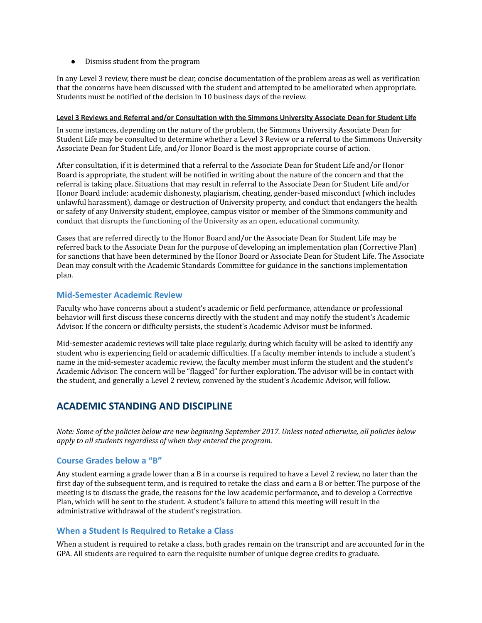● Dismiss student from the program

In any Level 3 review, there must be clear, concise documentation of the problem areas as well as verification that the concerns have been discussed with the student and attempted to be ameliorated when appropriate. Students must be notified of the decision in 10 business days of the review.

#### **Level 3 Reviews and Referral and/or Consultation with the Simmons University Associate Dean for Student Life**

In some instances, depending on the nature of the problem, the Simmons University Associate Dean for Student Life may be consulted to determine whether a Level 3 Review or a referral to the Simmons University Associate Dean for Student Life, and/or Honor Board is the most appropriate course of action.

After consultation, if it is determined that a referral to the Associate Dean for Student Life and/or Honor Board is appropriate, the student will be notified in writing about the nature of the concern and that the referral is taking place. Situations that may result in referral to the Associate Dean for Student Life and/or Honor Board include: academic dishonesty, plagiarism, cheating, gender-based misconduct (which includes unlawful harassment), damage or destruction of University property, and conduct that endangers the health or safety of any University student, employee, campus visitor or member of the Simmons community and conduct that disrupts the functioning of the University as an open, educational community.

Cases that are referred directly to the Honor Board and/or the Associate Dean for Student Life may be referred back to the Associate Dean for the purpose of developing an implementation plan (Corrective Plan) for sanctions that have been determined by the Honor Board or Associate Dean for Student Life. The Associate Dean may consult with the Academic Standards Committee for guidance in the sanctions implementation plan.

#### **Mid-Semester Academic Review**

Faculty who have concerns about a student's academic or field performance, attendance or professional behavior will first discuss these concerns directly with the student and may notify the student's Academic Advisor. If the concern or difficulty persists, the student's Academic Advisor must be informed.

Mid-semester academic reviews will take place regularly, during which faculty will be asked to identify any student who is experiencing field or academic difficulties. If a faculty member intends to include a student's name in the mid-semester academic review, the faculty member must inform the student and the student's Academic Advisor. The concern will be "flagged" for further exploration. The advisor will be in contact with the student, and generally a Level 2 review, convened by the student's Academic Advisor, will follow.

## **ACADEMIC STANDING AND DISCIPLINE**

Note: Some of the policies below are new beginning September 2017. Unless noted otherwise, all policies below *apply to all students regardless of when they entered the program.*

## **Course Grades below a "B"**

Any student earning a grade lower than a B in a course is required to have a Level 2 review, no later than the first day of the subsequent term, and is required to retake the class and earn a B or better. The purpose of the meeting is to discuss the grade, the reasons for the low academic performance, and to develop a Corrective Plan, which will be sent to the student. A student's failure to attend this meeting will result in the administrative withdrawal of the student's registration.

#### **When a Student Is Required to Retake a Class**

When a student is required to retake a class, both grades remain on the transcript and are accounted for in the GPA. All students are required to earn the requisite number of unique degree credits to graduate.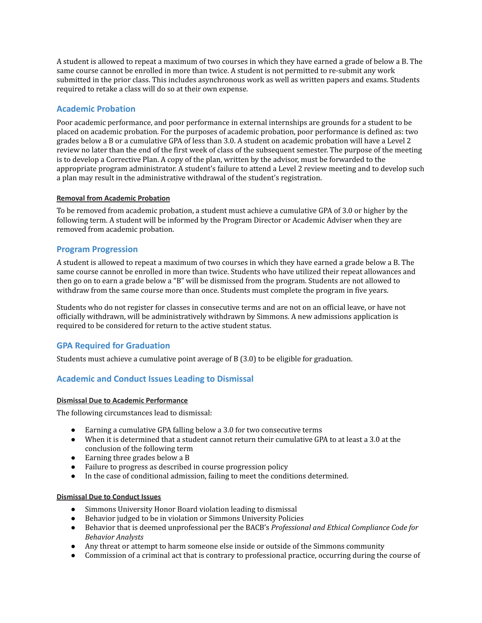A student is allowed to repeat a maximum of two courses in which they have earned a grade of below a B. The same course cannot be enrolled in more than twice. A student is not permitted to re-submit any work submitted in the prior class. This includes asynchronous work as well as written papers and exams. Students required to retake a class will do so at their own expense.

## **Academic Probation**

Poor academic performance, and poor performance in external internships are grounds for a student to be placed on academic probation. For the purposes of academic probation, poor performance is defined as: two grades below a B or a cumulative GPA of less than 3.0. A student on academic probation will have a Level 2 review no later than the end of the first week of class of the subsequent semester. The purpose of the meeting is to develop a Corrective Plan. A copy of the plan, written by the advisor, must be forwarded to the appropriate program administrator. A student's failure to attend a Level 2 review meeting and to develop such a plan may result in the administrative withdrawal of the student's registration.

#### **Removal from Academic Probation**

To be removed from academic probation, a student must achieve a cumulative GPA of 3.0 or higher by the following term. A student will be informed by the Program Director or Academic Adviser when they are removed from academic probation.

#### **Program Progression**

A student is allowed to repeat a maximum of two courses in which they have earned a grade below a B. The same course cannot be enrolled in more than twice. Students who have utilized their repeat allowances and then go on to earn a grade below a "B" will be dismissed from the program. Students are not allowed to withdraw from the same course more than once. Students must complete the program in five years.

Students who do not register for classes in consecutive terms and are not on an official leave, or have not officially withdrawn, will be administratively withdrawn by Simmons. A new admissions application is required to be considered for return to the active student status.

## **GPA Required for Graduation**

Students must achieve a cumulative point average of B (3.0) to be eligible for graduation.

## **Academic and Conduct Issues Leading to Dismissal**

#### **Dismissal Due to Academic Performance**

The following circumstances lead to dismissal:

- Earning a cumulative GPA falling below a 3.0 for two consecutive terms
- When it is determined that a student cannot return their cumulative GPA to at least a 3.0 at the conclusion of the following term
- Earning three grades below a B
- Failure to progress as described in course progression policy
- In the case of conditional admission, failing to meet the conditions determined.

#### **Dismissal Due to Conduct Issues**

- Simmons University Honor Board violation leading to dismissal
- Behavior judged to be in violation or Simmons University Policies
- Behavior that is deemed unprofessional per the BACB's *Professional and Ethical Compliance Code for Behavior Analysts*
- Any threat or attempt to harm someone else inside or outside of the Simmons community
- Commission of a criminal act that is contrary to professional practice, occurring during the course of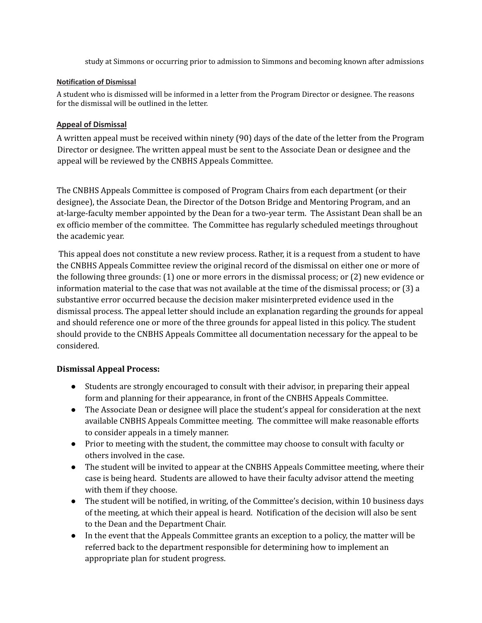study at Simmons or occurring prior to admission to Simmons and becoming known after admissions

## **Notification of Dismissal**

A student who is dismissed will be informed in a letter from the Program Director or designee. The reasons for the dismissal will be outlined in the letter.

## **Appeal of Dismissal**

A written appeal must be received within ninety (90) days of the date of the letter from the Program Director or designee. The written appeal must be sent to the Associate Dean or designee and the appeal will be reviewed by the CNBHS Appeals Committee.

The CNBHS Appeals Committee is composed of Program Chairs from each department (or their designee), the Associate Dean, the Director of the Dotson Bridge and Mentoring Program, and an at-large-faculty member appointed by the Dean for a two-year term. The Assistant Dean shall be an ex officio member of the committee. The Committee has regularly scheduled meetings throughout the academic year.

This appeal does not constitute a new review process. Rather, it is a request from a student to have the CNBHS Appeals Committee review the original record of the dismissal on either one or more of the following three grounds: (1) one or more errors in the dismissal process; or (2) new evidence or information material to the case that was not available at the time of the dismissal process; or (3) a substantive error occurred because the decision maker misinterpreted evidence used in the dismissal process. The appeal letter should include an explanation regarding the grounds for appeal and should reference one or more of the three grounds for appeal listed in this policy. The student should provide to the CNBHS Appeals Committee all documentation necessary for the appeal to be considered.

## **Dismissal Appeal Process:**

- Students are strongly encouraged to consult with their advisor, in preparing their appeal form and planning for their appearance, in front of the CNBHS Appeals Committee.
- The Associate Dean or designee will place the student's appeal for consideration at the next available CNBHS Appeals Committee meeting. The committee will make reasonable efforts to consider appeals in a timely manner.
- Prior to meeting with the student, the committee may choose to consult with faculty or others involved in the case.
- The student will be invited to appear at the CNBHS Appeals Committee meeting, where their case is being heard. Students are allowed to have their faculty advisor attend the meeting with them if they choose.
- The student will be notified, in writing, of the Committee's decision, within 10 business days of the meeting, at which their appeal is heard. Notification of the decision will also be sent to the Dean and the Department Chair.
- In the event that the Appeals Committee grants an exception to a policy, the matter will be referred back to the department responsible for determining how to implement an appropriate plan for student progress.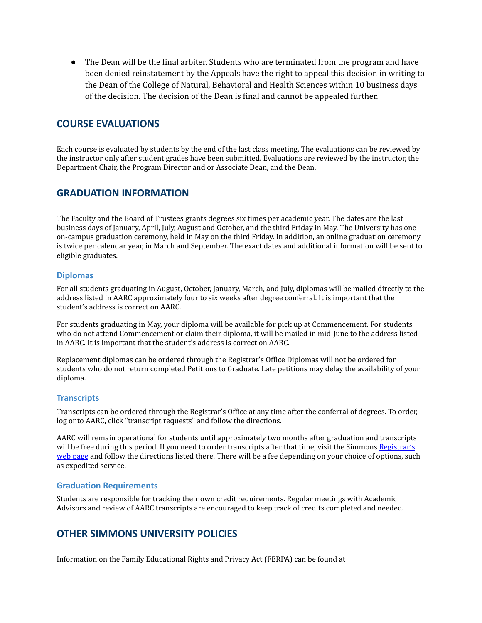● The Dean will be the final arbiter. Students who are terminated from the program and have been denied reinstatement by the Appeals have the right to appeal this decision in writing to the Dean of the College of Natural, Behavioral and Health Sciences within 10 business days of the decision. The decision of the Dean is final and cannot be appealed further.

## **COURSE EVALUATIONS**

Each course is evaluated by students by the end of the last class meeting. The evaluations can be reviewed by the instructor only after student grades have been submitted. Evaluations are reviewed by the instructor, the Department Chair, the Program Director and or Associate Dean, and the Dean.

## **GRADUATION INFORMATION**

The Faculty and the Board of Trustees grants degrees six times per academic year. The dates are the last business days of January, April, July, August and October, and the third Friday in May. The University has one on-campus graduation ceremony, held in May on the third Friday. In addition, an online graduation ceremony is twice per calendar year, in March and September. The exact dates and additional information will be sent to eligible graduates.

## **Diplomas**

For all students graduating in August, October, January, March, and July, diplomas will be mailed directly to the address listed in AARC approximately four to six weeks after degree conferral. It is important that the student's address is correct on AARC.

For students graduating in May, your diploma will be available for pick up at Commencement. For students who do not attend Commencement or claim their diploma, it will be mailed in mid-June to the address listed in AARC. It is important that the student's address is correct on AARC.

Replacement diplomas can be ordered through the Registrar's Office Diplomas will not be ordered for students who do not return completed Petitions to Graduate. Late petitions may delay the availability of your diploma.

## **Transcripts**

Transcripts can be ordered through the Registrar's Office at any time after the conferral of degrees. To order, log onto AARC, click "transcript requests" and follow the directions.

AARC will remain operational for students until approximately two months after graduation and transcripts will be free during this period. If you need to order transcripts after that time, visit the Simmons [Registrar's](http://www.simmons.edu/academics/registrar/) web [page](http://www.simmons.edu/academics/registrar/) and follow the directions listed there. There will be a fee depending on your choice of options, such as expedited service.

## **Graduation Requirements**

Students are responsible for tracking their own credit requirements. Regular meetings with Academic Advisors and review of AARC transcripts are encouraged to keep track of credits completed and needed.

## **OTHER SIMMONS UNIVERSITY POLICIES**

Information on the Family Educational Rights and Privacy Act (FERPA) can be found at